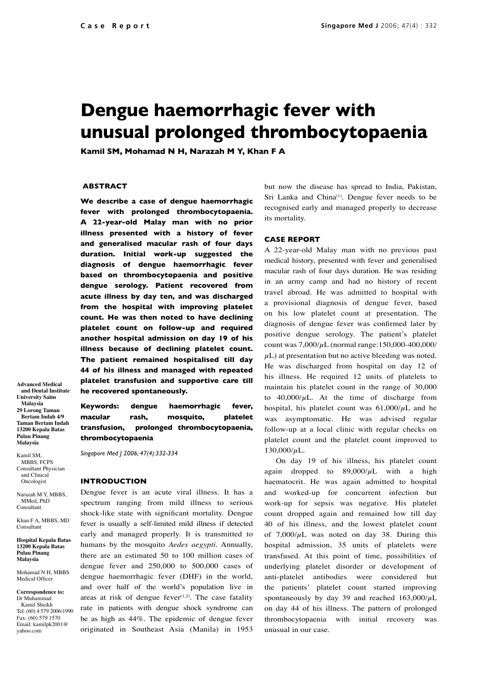# **Dengue haemorrhagic fever with unusual prolonged thrombocytopaenia**

**Kamil SM, Mohamad N H, Narazah M Y, Khan F A**

#### **ABSTRACT**

**We describe a case of dengue haemorrhagic fever with prolonged thrombocytopaenia. A 22-year-old Malay man with no prior illness presented with a history of fever and generalised macular rash of four days duration. Initial work-up suggested the diagnosis of dengue haemorrhagic fever based on thrombocytopaenia and positive dengue serology. Patient recovered from acute illness by day ten, and was discharged from the hospital with improving platelet count. He was then noted to have declining platelet count on follow-up and required another hospital admission on day 19 of his illness because of declining platelet count. The patient remained hospitalised till day 44 of his illness and managed with repeated platelet transfusion and supportive care till he recovered spontaneously.** 

**Advanced Medical and Dental Institute University Sains Malaysia 29 Lorong Taman Bertam Indah 4/9 Taman Bertam Indah 13200 Kepala Batas Pulau Pinang Malaysia**

Kamil SM, MBBS, FCPS Consultant Physician and Clinical Oncologist

Narazah M Y, MBBS, MMed, PhD Consultant

Khan F A, MBBS, MD Consultant

**Hospital Kepala Batas 13200 Kepala Batas Pulau Pinang Malaysia** 

Mohamad N H, MBBS Medical Officer

 **Correspondence to:** Dr Muhammad Kamil Sheikh Tel: (60) 4 579 2006/1990 Fax: (60) 579 1570 Email: kamilpk2001@ yahoo.com

**Keywords: dengue haemorrhagic fever, macular rash, mosquito, platelet transfusion, prolonged thrombocytopaenia, thrombocytopaenia**

*Singapore Med J 2006; 47(4):332-334*

#### **INTRODUCTION**

Dengue fever is an acute viral illness. It has a spectrum ranging from mild illness to serious shock-like state with significant mortality. Dengue fever is usually a self-limited mild illness if detected early and managed properly. It is transmitted to humans by the mosquito *Aedes aegypti*. Annually, there are an estimated 50 to 100 million cases of dengue fever and 250,000 to 500,000 cases of dengue haemorrhagic fever (DHF) in the world, and over half of the world's population live in areas at risk of dengue fever $(1,2)$ . The case fatality rate in patients with dengue shock syndrome can be as high as 44%. The epidemic of dengue fever originated in Southeast Asia (Manila) in 1953 but now the disease has spread to India, Pakistan, Sri Lanka and China<sup>(1)</sup>. Dengue fever needs to be recognised early and managed properly to decrease its mortality.

#### **CASE REPORT**

A 22-year-old Malay man with no previous past medical history, presented with fever and generalised macular rash of four days duration. He was residing in an army camp and had no history of recent travel abroad. He was admitted to hospital with a provisional diagnosis of dengue fever, based on his low platelet count at presentation. The diagnosis of dengue fever was confirmed later by positive dengue serology. The patient's platelet count was  $7,000/\mu$ L (normal range:150,000-400,000/  $\mu$ L) at presentation but no active bleeding was noted. He was discharged from hospital on day 12 of his illness. He required 12 units of platelets to maintain his platelet count in the range of 30,000 to  $40,000/\mu L$ . At the time of discharge from hospital, his platelet count was  $61,000/\mu L$  and he was asymptomatic. He was advised regular follow-up at a local clinic with regular checks on platelet count and the platelet count improved to  $130,000/\mu L$ .

On day 19 of his illness, his platelet count again dropped to  $89,000/\mu L$  with a high haematocrit. He was again admitted to hospital and worked-up for concurrent infection but work-up for sepsis was negative. His platelet count dropped again and remained low till day 40 of his illness, and the lowest platelet count of  $7,000/\mu$ L was noted on day 38. During this hospital admission, 35 units of platelets were transfused. At this point of time, possibilities of underlying platelet disorder or development of anti-platelet antibodies were considered but the patients' platelet count started improving spontaneously by day 39 and reached  $163,000/\mu L$ on day 44 of his illness. The pattern of prolonged thrombocytopaenia with initial recovery was unusual in our case.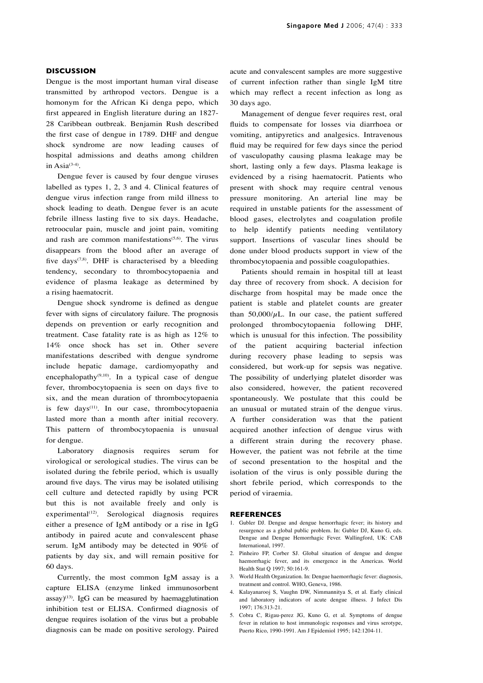### **DISCUSSION**

Dengue is the most important human viral disease transmitted by arthropod vectors. Dengue is a homonym for the African Ki denga pepo, which first appeared in English literature during an 1827- 28 Caribbean outbreak. Benjamin Rush described the first case of dengue in 1789. DHF and dengue shock syndrome are now leading causes of hospital admissions and deaths among children in Asi $a^{(3-4)}$ .

Dengue fever is caused by four dengue viruses labelled as types 1, 2, 3 and 4. Clinical features of dengue virus infection range from mild illness to shock leading to death. Dengue fever is an acute febrile illness lasting five to six days. Headache, retroocular pain, muscle and joint pain, vomiting and rash are common manifestations<sup> $(5,6)$ </sup>. The virus disappears from the blood after an average of five days<sup> $(7,8)$ </sup>. DHF is characterised by a bleeding tendency, secondary to thrombocytopaenia and evidence of plasma leakage as determined by a rising haematocrit.

Dengue shock syndrome is defined as dengue fever with signs of circulatory failure. The prognosis depends on prevention or early recognition and treatment. Case fatality rate is as high as 12% to 14% once shock has set in. Other severe manifestations described with dengue syndrome include hepatic damage, cardiomyopathy and encephalopathy<sup>(9,10)</sup>. In a typical case of dengue fever, thrombocytopaenia is seen on days five to six, and the mean duration of thrombocytopaenia is few days<sup>(11)</sup>. In our case, thrombocytopaenia lasted more than a month after initial recovery. This pattern of thrombocytopaenia is unusual for dengue.

Laboratory diagnosis requires serum for virological or serological studies. The virus can be isolated during the febrile period, which is usually around five days. The virus may be isolated utilising cell culture and detected rapidly by using PCR but this is not available freely and only is  $experimental<sup>(12)</sup>$ . Serological diagnosis requires either a presence of IgM antibody or a rise in IgG antibody in paired acute and convalescent phase serum. IgM antibody may be detected in 90% of patients by day six, and will remain positive for 60 days.

Currently, the most common IgM assay is a capture ELISA (enzyme linked immunosorbent assay) $(13)$ . IgG can be measured by haemagglutination inhibition test or ELISA. Confirmed diagnosis of dengue requires isolation of the virus but a probable diagnosis can be made on positive serology. Paired

acute and convalescent samples are more suggestive of current infection rather than single IgM titre which may reflect a recent infection as long as 30 days ago.

Management of dengue fever requires rest, oral fluids to compensate for losses via diarrhoea or vomiting, antipyretics and analgesics. Intravenous fluid may be required for few days since the period of vasculopathy causing plasma leakage may be short, lasting only a few days. Plasma leakage is evidenced by a rising haematocrit. Patients who present with shock may require central venous pressure monitoring. An arterial line may be required in unstable patients for the assessment of blood gases, electrolytes and coagulation profile to help identify patients needing ventilatory support. Insertions of vascular lines should be done under blood products support in view of the thrombocytopaenia and possible coagulopathies.

Patients should remain in hospital till at least day three of recovery from shock. A decision for discharge from hospital may be made once the patient is stable and platelet counts are greater than  $50,000/\mu L$ . In our case, the patient suffered prolonged thrombocytopaenia following DHF, which is unusual for this infection. The possibility of the patient acquiring bacterial infection during recovery phase leading to sepsis was considered, but work-up for sepsis was negative. The possibility of underlying platelet disorder was also considered, however, the patient recovered spontaneously. We postulate that this could be an unusual or mutated strain of the dengue virus. A further consideration was that the patient acquired another infection of dengue virus with a different strain during the recovery phase. However, the patient was not febrile at the time of second presentation to the hospital and the isolation of the virus is only possible during the short febrile period, which corresponds to the period of viraemia.

#### **REFERENCES**

- 1. Gubler DJ. Dengue and dengue hemorrhagic fever; its history and resurgence as a global public problem. In: Gubler DJ, Kuno G, eds. Dengue and Dengue Hemorrhagic Fever. Wallingford, UK: CAB International, 1997.
- 2. Pinheiro FP, Corber SJ. Global situation of dengue and dengue haemorrhagic fever, and its emergence in the Americas. World Health Stat Q 1997; 50:161-9.
- 3. World Health Organization. In: Dengue haemorrhagic fever: diagnosis, treatment and control. WHO, Geneva, 1986.
- 4. Kalayanarooj S, Vaughn DW, Nimmannitya S, et al. Early clinical and laboratory indicators of acute dengue illness. J Infect Dis 1997; 176:313-21.
- 5. Cobra C, Rigau-perez JG, Kuno G, et al. Symptoms of dengue fever in relation to host immunologic responses and virus serotype, Puerto Rico, 1990-1991. Am J Epidemiol 1995; 142:1204-11.